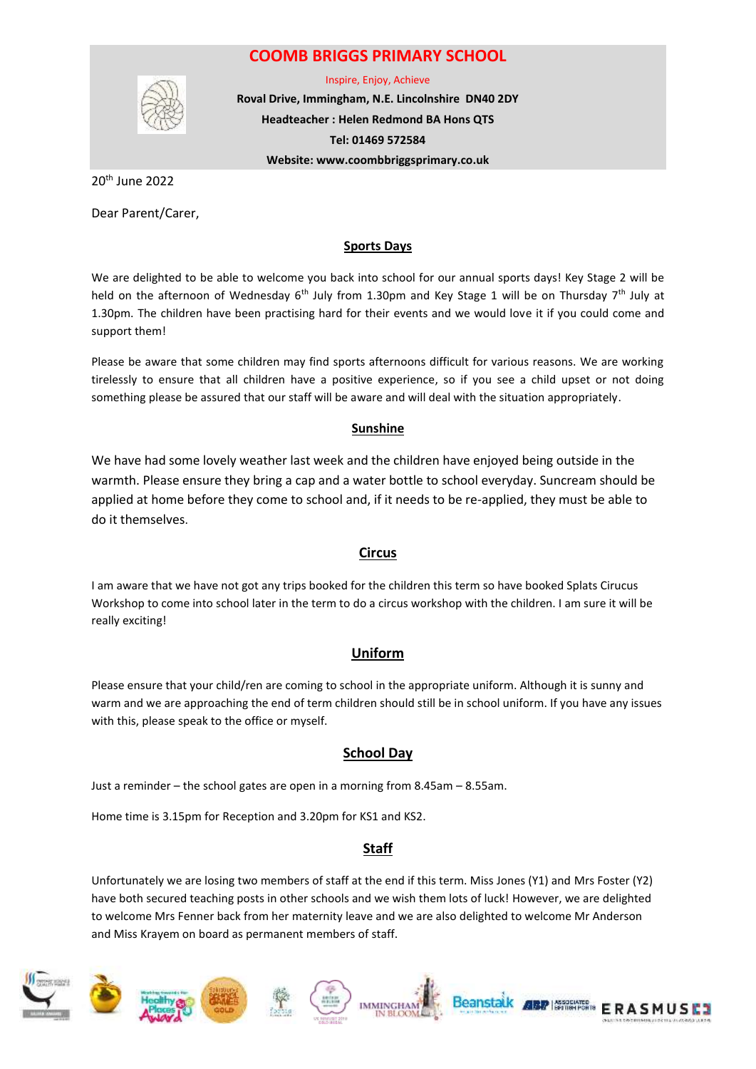## **COOMB BRIGGS PRIMARY SCHOOL**



Inspire, Enjoy, Achieve

**Roval Drive, Immingham, N.E. Lincolnshire DN40 2DY Headteacher : Helen Redmond BA Hons QTS Tel: 01469 572584 Website: www.coombbriggsprimary.co.uk**

20th June 2022

Dear Parent/Carer,

#### **Sports Days**

We are delighted to be able to welcome you back into school for our annual sports days! Key Stage 2 will be held on the afternoon of Wednesday  $6<sup>th</sup>$  July from 1.30pm and Key Stage 1 will be on Thursday 7<sup>th</sup> July at 1.30pm. The children have been practising hard for their events and we would love it if you could come and support them!

Please be aware that some children may find sports afternoons difficult for various reasons. We are working tirelessly to ensure that all children have a positive experience, so if you see a child upset or not doing something please be assured that our staff will be aware and will deal with the situation appropriately.

#### **Sunshine**

We have had some lovely weather last week and the children have enjoyed being outside in the warmth. Please ensure they bring a cap and a water bottle to school everyday. Suncream should be applied at home before they come to school and, if it needs to be re-applied, they must be able to do it themselves.

### **Circus**

I am aware that we have not got any trips booked for the children this term so have booked Splats Cirucus Workshop to come into school later in the term to do a circus workshop with the children. I am sure it will be really exciting!

### **Uniform**

Please ensure that your child/ren are coming to school in the appropriate uniform. Although it is sunny and warm and we are approaching the end of term children should still be in school uniform. If you have any issues with this, please speak to the office or myself.

### **School Day**

Just a reminder – the school gates are open in a morning from 8.45am – 8.55am.

Home time is 3.15pm for Reception and 3.20pm for KS1 and KS2.

### **Staff**

Unfortunately we are losing two members of staff at the end if this term. Miss Jones (Y1) and Mrs Foster (Y2) have both secured teaching posts in other schools and we wish them lots of luck! However, we are delighted to welcome Mrs Fenner back from her maternity leave and we are also delighted to welcome Mr Anderson and Miss Krayem on board as permanent members of staff.